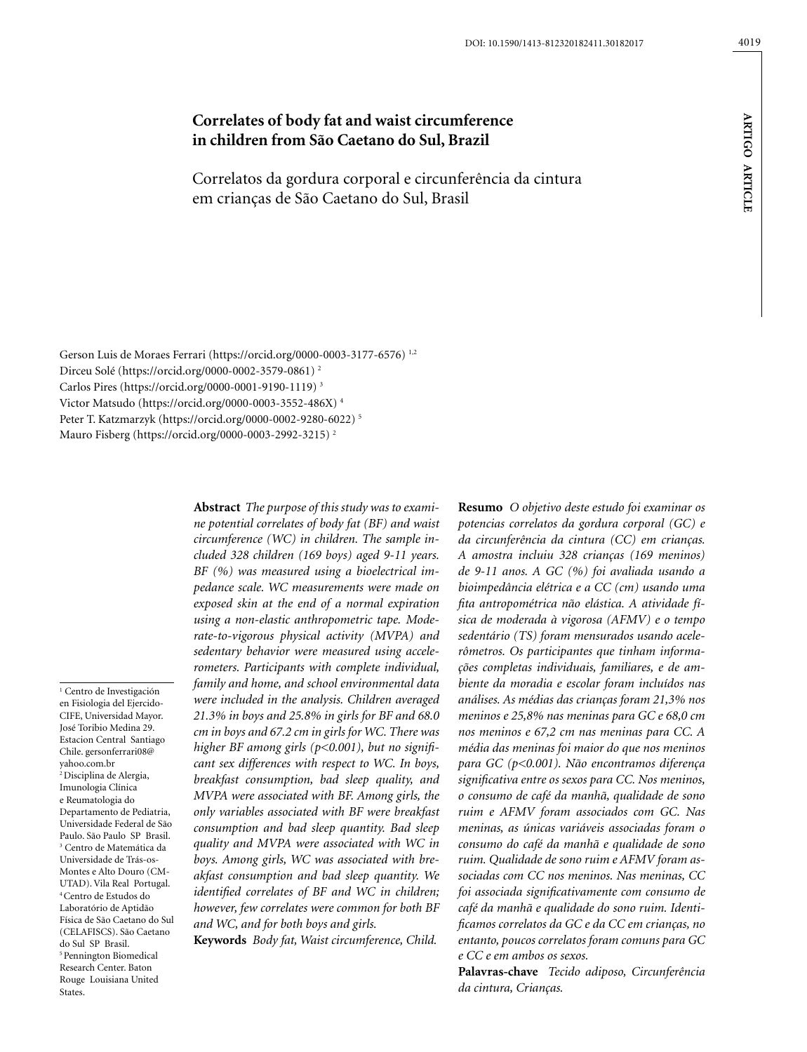# **Correlates of body fat and waist circumference in children from São Caetano do Sul, Brazil**

Correlatos da gordura corporal e circunferência da cintura em crianças de São Caetano do Sul, Brasil

Gerson Luis de Moraes Ferrari (https://orcid.org/0000-0003-3177-6576) 1,2 Dirceu Solé (https://orcid.org/0000-0002-3579-0861) 2 Carlos Pires (https://orcid.org/0000-0001-9190-1119) 3 Victor Matsudo (https://orcid.org/0000-0003-3552-486X) 4 Peter T. Katzmarzyk (https://orcid.org/0000-0002-9280-6022) 5 Mauro Fisberg (https://orcid.org/0000-0003-2992-3215) 2

1 Centro de Investigación en Fisiologia del Ejercido-CIFE, Universidad Mayor. José Toribio Medina 29. Estacion Central Santiago Chile. gersonferrari08@ yahoo.com.br <sup>2</sup> Disciplina de Alergia, Imunologia Clínica e Reumatologia do Departamento de Pediatria, Universidade Federal de São Paulo. São Paulo SP Brasil. 3 Centro de Matemática da Universidade de Trás-os-Montes e Alto Douro (CM-UTAD). Vila Real Portugal. 4 Centro de Estudos do Laboratório de Aptidão Física de São Caetano do Sul (CELAFISCS). São Caetano do Sul SP Brasil. 5 Pennington Biomedical Research Center. Baton Rouge Louisiana United States.

**Abstract** *The purpose of this study was to examine potential correlates of body fat (BF) and waist circumference (WC) in children. The sample included 328 children (169 boys) aged 9-11 years. BF (%) was measured using a bioelectrical impedance scale. WC measurements were made on exposed skin at the end of a normal expiration using a non-elastic anthropometric tape. Moderate-to-vigorous physical activity (MVPA) and sedentary behavior were measured using accelerometers. Participants with complete individual, family and home, and school environmental data were included in the analysis. Children averaged 21.3% in boys and 25.8% in girls for BF and 68.0 cm in boys and 67.2 cm in girls for WC. There was higher BF among girls (p<0.001), but no significant sex differences with respect to WC. In boys, breakfast consumption, bad sleep quality, and MVPA were associated with BF. Among girls, the only variables associated with BF were breakfast consumption and bad sleep quantity. Bad sleep quality and MVPA were associated with WC in boys. Among girls, WC was associated with breakfast consumption and bad sleep quantity. We identified correlates of BF and WC in children; however, few correlates were common for both BF and WC, and for both boys and girls.*

**Keywords** *Body fat, Waist circumference, Child.*

**Resumo** *O objetivo deste estudo foi examinar os potencias correlatos da gordura corporal (GC) e da circunferência da cintura (CC) em crianças. A amostra incluiu 328 crianças (169 meninos) de 9-11 anos. A GC (%) foi avaliada usando a bioimpedância elétrica e a CC (cm) usando uma fita antropométrica não elástica. A atividade física de moderada à vigorosa (AFMV) e o tempo sedentário (TS) foram mensurados usando acelerômetros. Os participantes que tinham informações completas individuais, familiares, e de ambiente da moradia e escolar foram incluídos nas análises. As médias das crianças foram 21,3% nos meninos e 25,8% nas meninas para GC e 68,0 cm nos meninos e 67,2 cm nas meninas para CC. A média das meninas foi maior do que nos meninos para GC (p<0.001). Não encontramos diferença significativa entre os sexos para CC. Nos meninos, o consumo de café da manhã, qualidade de sono ruim e AFMV foram associados com GC. Nas meninas, as únicas variáveis associadas foram o consumo do café da manhã e qualidade de sono ruim. Qualidade de sono ruim e AFMV foram associadas com CC nos meninos. Nas meninas, CC foi associada significativamente com consumo de café da manhã e qualidade do sono ruim. Identificamos correlatos da GC e da CC em crianças, no entanto, poucos correlatos foram comuns para GC e CC e em ambos os sexos.*

**Palavras-chave** *Tecido adiposo, Circunferência da cintura, Crianças.*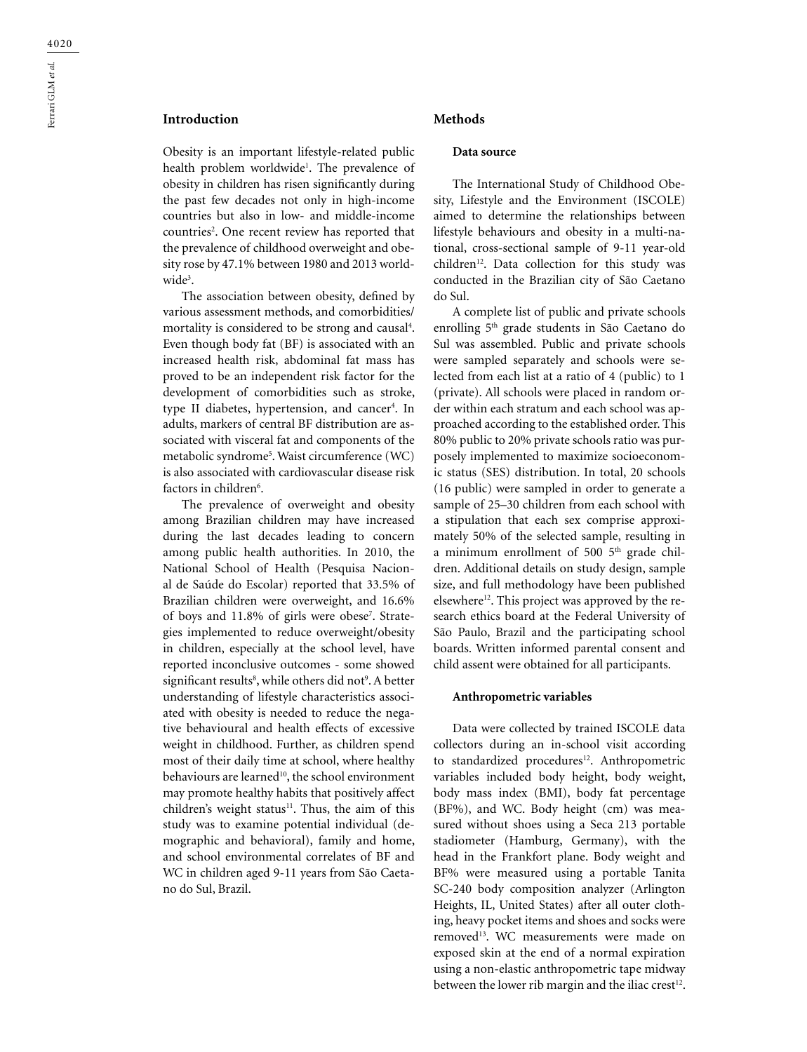# **Introduction**

Obesity is an important lifestyle-related public health problem worldwide<sup>1</sup>. The prevalence of obesity in children has risen significantly during the past few decades not only in high-income countries but also in low- and middle-income countries<sup>2</sup>. One recent review has reported that the prevalence of childhood overweight and obesity rose by 47.1% between 1980 and 2013 worldwide<sup>3</sup>.

The association between obesity, defined by various assessment methods, and comorbidities/ mortality is considered to be strong and causal<sup>4</sup>. Even though body fat (BF) is associated with an increased health risk, abdominal fat mass has proved to be an independent risk factor for the development of comorbidities such as stroke, type II diabetes, hypertension, and cancer<sup>4</sup>. In adults, markers of central BF distribution are associated with visceral fat and components of the metabolic syndrome5 . Waist circumference (WC) is also associated with cardiovascular disease risk factors in children<sup>6</sup>.

The prevalence of overweight and obesity among Brazilian children may have increased during the last decades leading to concern among public health authorities. In 2010, the National School of Health (Pesquisa Nacional de Saúde do Escolar) reported that 33.5% of Brazilian children were overweight, and 16.6% of boys and 11.8% of girls were obese<sup>7</sup>. Strategies implemented to reduce overweight/obesity in children, especially at the school level, have reported inconclusive outcomes - some showed significant results<sup>8</sup>, while others did not<sup>9</sup>. A better understanding of lifestyle characteristics associated with obesity is needed to reduce the negative behavioural and health effects of excessive weight in childhood. Further, as children spend most of their daily time at school, where healthy behaviours are learned<sup>10</sup>, the school environment may promote healthy habits that positively affect children's weight status $11$ . Thus, the aim of this study was to examine potential individual (demographic and behavioral), family and home, and school environmental correlates of BF and WC in children aged 9-11 years from São Caetano do Sul, Brazil.

## **Methods**

### **Data source**

The International Study of Childhood Obesity, Lifestyle and the Environment (ISCOLE) aimed to determine the relationships between lifestyle behaviours and obesity in a multi-national, cross-sectional sample of 9-11 year-old children<sup>12</sup>. Data collection for this study was conducted in the Brazilian city of São Caetano do Sul.

A complete list of public and private schools enrolling 5th grade students in São Caetano do Sul was assembled. Public and private schools were sampled separately and schools were selected from each list at a ratio of 4 (public) to 1 (private). All schools were placed in random order within each stratum and each school was approached according to the established order. This 80% public to 20% private schools ratio was purposely implemented to maximize socioeconomic status (SES) distribution. In total, 20 schools (16 public) were sampled in order to generate a sample of 25–30 children from each school with a stipulation that each sex comprise approximately 50% of the selected sample, resulting in a minimum enrollment of 500  $5<sup>th</sup>$  grade children. Additional details on study design, sample size, and full methodology have been published elsewhere<sup>12</sup>. This project was approved by the research ethics board at the Federal University of São Paulo, Brazil and the participating school boards. Written informed parental consent and child assent were obtained for all participants.

#### **Anthropometric variables**

Data were collected by trained ISCOLE data collectors during an in-school visit according to standardized procedures<sup>12</sup>. Anthropometric variables included body height, body weight, body mass index (BMI), body fat percentage (BF%), and WC. Body height (cm) was measured without shoes using a Seca 213 portable stadiometer (Hamburg, Germany), with the head in the Frankfort plane. Body weight and BF% were measured using a portable Tanita SC-240 body composition analyzer (Arlington Heights, IL, United States) after all outer clothing, heavy pocket items and shoes and socks were removed<sup>13</sup>. WC measurements were made on exposed skin at the end of a normal expiration using a non-elastic anthropometric tape midway between the lower rib margin and the iliac crest<sup>12</sup>.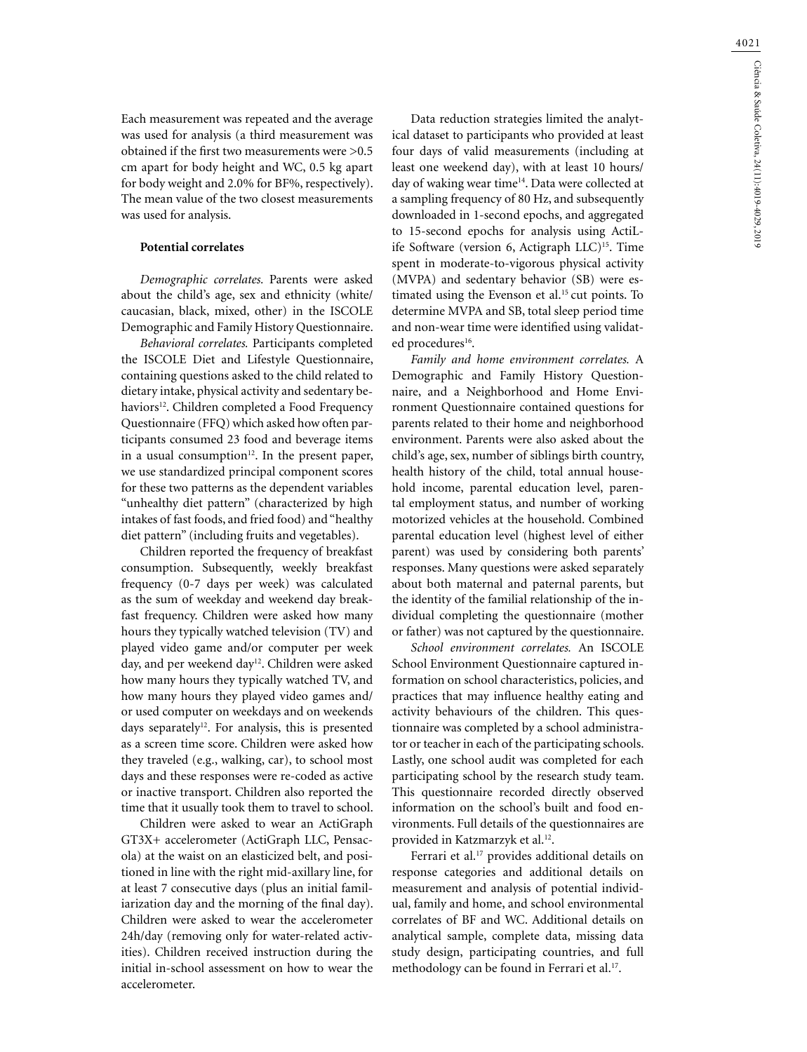Each measurement was repeated and the average was used for analysis (a third measurement was obtained if the first two measurements were >0.5 cm apart for body height and WC, 0.5 kg apart for body weight and 2.0% for BF%, respectively). The mean value of the two closest measurements was used for analysis.

### **Potential correlates**

*Demographic correlates.* Parents were asked about the child's age, sex and ethnicity (white/ caucasian, black, mixed, other) in the ISCOLE Demographic and Family History Questionnaire.

*Behavioral correlates.* Participants completed the ISCOLE Diet and Lifestyle Questionnaire, containing questions asked to the child related to dietary intake, physical activity and sedentary behaviors<sup>12</sup>. Children completed a Food Frequency Questionnaire (FFQ) which asked how often participants consumed 23 food and beverage items in a usual consumption $12$ . In the present paper, we use standardized principal component scores for these two patterns as the dependent variables "unhealthy diet pattern" (characterized by high intakes of fast foods, and fried food) and "healthy diet pattern" (including fruits and vegetables).

Children reported the frequency of breakfast consumption. Subsequently, weekly breakfast frequency (0-7 days per week) was calculated as the sum of weekday and weekend day breakfast frequency. Children were asked how many hours they typically watched television (TV) and played video game and/or computer per week day, and per weekend day<sup>12</sup>. Children were asked how many hours they typically watched TV, and how many hours they played video games and/ or used computer on weekdays and on weekends days separately<sup>12</sup>. For analysis, this is presented as a screen time score. Children were asked how they traveled (e.g., walking, car), to school most days and these responses were re-coded as active or inactive transport. Children also reported the time that it usually took them to travel to school.

Children were asked to wear an ActiGraph GT3X+ accelerometer (ActiGraph LLC, Pensacola) at the waist on an elasticized belt, and positioned in line with the right mid-axillary line, for at least 7 consecutive days (plus an initial familiarization day and the morning of the final day). Children were asked to wear the accelerometer 24h/day (removing only for water-related activities). Children received instruction during the initial in-school assessment on how to wear the accelerometer.

Data reduction strategies limited the analytical dataset to participants who provided at least four days of valid measurements (including at least one weekend day), with at least 10 hours/ day of waking wear time<sup>14</sup>. Data were collected at a sampling frequency of 80 Hz, and subsequently downloaded in 1-second epochs, and aggregated to 15-second epochs for analysis using ActiLife Software (version 6, Actigraph LLC)<sup>15</sup>. Time spent in moderate-to-vigorous physical activity (MVPA) and sedentary behavior (SB) were estimated using the Evenson et al.<sup>15</sup> cut points. To determine MVPA and SB, total sleep period time and non-wear time were identified using validated procedures<sup>16</sup>.

*Family and home environment correlates.* A Demographic and Family History Questionnaire, and a Neighborhood and Home Environment Questionnaire contained questions for parents related to their home and neighborhood environment. Parents were also asked about the child's age, sex, number of siblings birth country, health history of the child, total annual household income, parental education level, parental employment status, and number of working motorized vehicles at the household. Combined parental education level (highest level of either parent) was used by considering both parents' responses. Many questions were asked separately about both maternal and paternal parents, but the identity of the familial relationship of the individual completing the questionnaire (mother or father) was not captured by the questionnaire.

*School environment correlates.* An ISCOLE School Environment Questionnaire captured information on school characteristics, policies, and practices that may influence healthy eating and activity behaviours of the children. This questionnaire was completed by a school administrator or teacher in each of the participating schools. Lastly, one school audit was completed for each participating school by the research study team. This questionnaire recorded directly observed information on the school's built and food environments. Full details of the questionnaires are provided in Katzmarzyk et al.<sup>12</sup>.

Ferrari et al.<sup>17</sup> provides additional details on response categories and additional details on measurement and analysis of potential individual, family and home, and school environmental correlates of BF and WC. Additional details on analytical sample, complete data, missing data study design, participating countries, and full methodology can be found in Ferrari et al.<sup>17</sup>.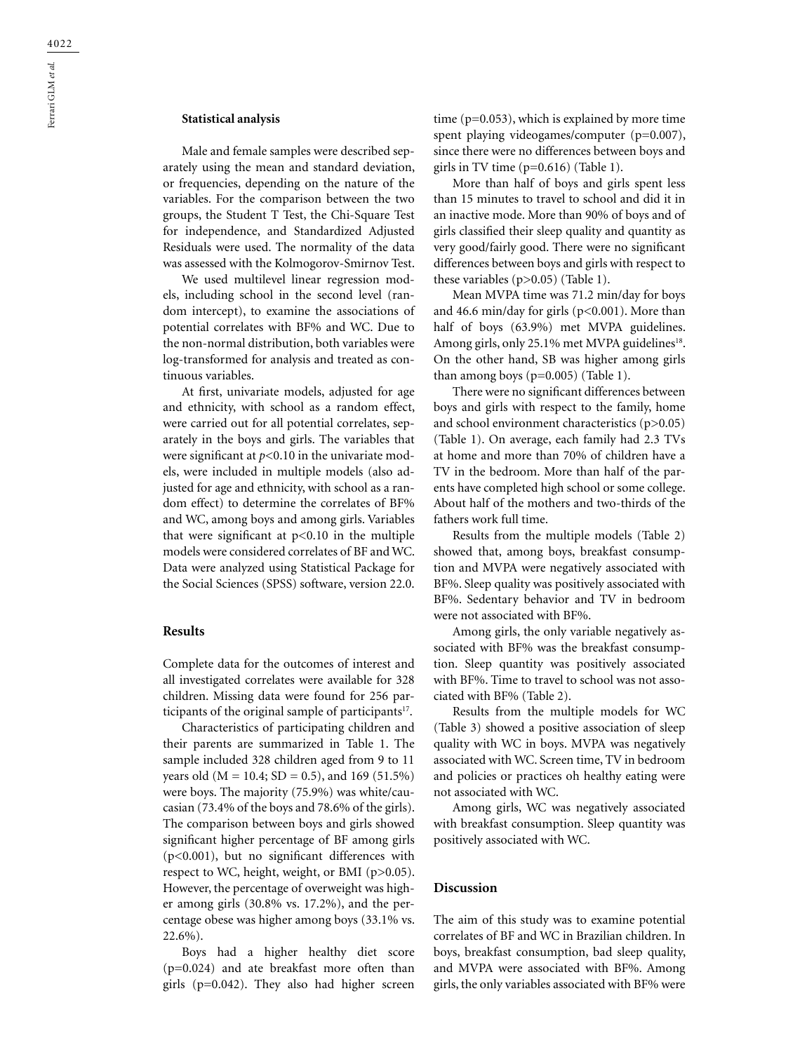## **Statistical analysis**

Male and female samples were described separately using the mean and standard deviation, or frequencies, depending on the nature of the variables. For the comparison between the two groups, the Student T Test, the Chi-Square Test for independence, and Standardized Adjusted Residuals were used. The normality of the data was assessed with the Kolmogorov-Smirnov Test.

We used multilevel linear regression models, including school in the second level (random intercept), to examine the associations of potential correlates with BF% and WC. Due to the non-normal distribution, both variables were log-transformed for analysis and treated as continuous variables.

At first, univariate models, adjusted for age and ethnicity, with school as a random effect, were carried out for all potential correlates, separately in the boys and girls. The variables that were significant at *p*<0.10 in the univariate models, were included in multiple models (also adjusted for age and ethnicity, with school as a random effect) to determine the correlates of BF% and WC, among boys and among girls. Variables that were significant at  $p<0.10$  in the multiple models were considered correlates of BF and WC. Data were analyzed using Statistical Package for the Social Sciences (SPSS) software, version 22.0.

#### **Results**

Complete data for the outcomes of interest and all investigated correlates were available for 328 children. Missing data were found for 256 participants of the original sample of participants<sup>17</sup>.

Characteristics of participating children and their parents are summarized in Table 1. The sample included 328 children aged from 9 to 11 years old ( $M = 10.4$ ; SD = 0.5), and 169 (51.5%) were boys. The majority (75.9%) was white/caucasian (73.4% of the boys and 78.6% of the girls). The comparison between boys and girls showed significant higher percentage of BF among girls (p<0.001), but no significant differences with respect to WC, height, weight, or BMI (p>0.05). However, the percentage of overweight was higher among girls (30.8% vs. 17.2%), and the percentage obese was higher among boys (33.1% vs. 22.6%).

Boys had a higher healthy diet score (p=0.024) and ate breakfast more often than girls (p=0.042). They also had higher screen time (p=0.053), which is explained by more time spent playing videogames/computer (p=0.007), since there were no differences between boys and girls in TV time (p=0.616) (Table 1).

More than half of boys and girls spent less than 15 minutes to travel to school and did it in an inactive mode. More than 90% of boys and of girls classified their sleep quality and quantity as very good/fairly good. There were no significant differences between boys and girls with respect to these variables (p>0.05) (Table 1).

Mean MVPA time was 71.2 min/day for boys and 46.6 min/day for girls (p<0.001). More than half of boys (63.9%) met MVPA guidelines. Among girls, only 25.1% met MVPA guidelines<sup>18</sup>. On the other hand, SB was higher among girls than among boys  $(p=0.005)$  (Table 1).

There were no significant differences between boys and girls with respect to the family, home and school environment characteristics (p>0.05) (Table 1). On average, each family had 2.3 TVs at home and more than 70% of children have a TV in the bedroom. More than half of the parents have completed high school or some college. About half of the mothers and two-thirds of the fathers work full time.

Results from the multiple models (Table 2) showed that, among boys, breakfast consumption and MVPA were negatively associated with BF%. Sleep quality was positively associated with BF%. Sedentary behavior and TV in bedroom were not associated with BF%.

Among girls, the only variable negatively associated with BF% was the breakfast consumption. Sleep quantity was positively associated with BF%. Time to travel to school was not associated with BF% (Table 2).

Results from the multiple models for WC (Table 3) showed a positive association of sleep quality with WC in boys. MVPA was negatively associated with WC. Screen time, TV in bedroom and policies or practices oh healthy eating were not associated with WC.

Among girls, WC was negatively associated with breakfast consumption. Sleep quantity was positively associated with WC.

### **Discussion**

The aim of this study was to examine potential correlates of BF and WC in Brazilian children. In boys, breakfast consumption, bad sleep quality, and MVPA were associated with BF%. Among girls, the only variables associated with BF% were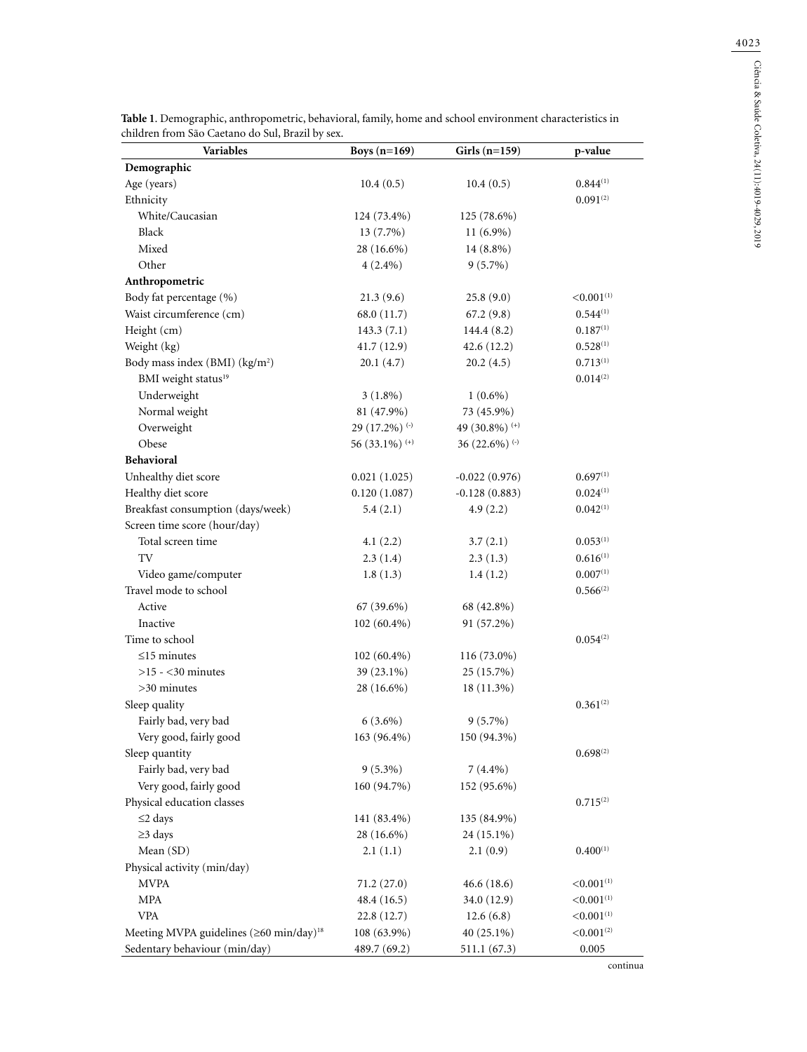4023

| <b>Variables</b>                                         | Boys $(n=169)$            | Girls $(n=159)$      | p-value                |  |
|----------------------------------------------------------|---------------------------|----------------------|------------------------|--|
| Demographic                                              |                           |                      |                        |  |
| Age (years)                                              | 10.4(0.5)                 | 10.4(0.5)            | 0.844(1)               |  |
| Ethnicity                                                |                           |                      | 0.091(2)               |  |
| White/Caucasian                                          | 124 (73.4%)               | 125 (78.6%)          |                        |  |
| Black                                                    | 13 (7.7%)                 | $11(6.9\%)$          |                        |  |
| Mixed                                                    | 28 (16.6%)                | 14 (8.8%)            |                        |  |
| Other                                                    | $4(2.4\%)$                | $9(5.7\%)$           |                        |  |
| Anthropometric                                           |                           |                      |                        |  |
| Body fat percentage (%)                                  | 21.3(9.6)                 | 25.8(9.0)            | < 0.001(1)             |  |
| Waist circumference (cm)                                 | 68.0 (11.7)               | 67.2(9.8)            | $0.544^{(1)}$          |  |
| Height (cm)                                              | 143.3(7.1)                | 144.4(8.2)           | $0.187^{(1)}$          |  |
| Weight (kg)                                              | 41.7(12.9)                | 42.6 (12.2)          | $0.528^{(1)}$          |  |
| Body mass index (BMI) (kg/m <sup>2</sup> )               | 20.1(4.7)                 | 20.2(4.5)            | 0.713(1)               |  |
| BMI weight status <sup>19</sup>                          |                           |                      | 0.014(2)               |  |
| Underweight                                              | $3(1.8\%)$                | $1(0.6\%)$           |                        |  |
| Normal weight                                            | 81 (47.9%)                | 73 (45.9%)           |                        |  |
| Overweight                                               | 29 (17.2%) <sup>(-)</sup> | 49 (30.8%) (+)       |                        |  |
| Obese                                                    | 56 (33.1%) $(+)$          | 36 (22.6%) $($ - $)$ |                        |  |
| <b>Behavioral</b>                                        |                           |                      |                        |  |
| Unhealthy diet score                                     | 0.021(1.025)              | $-0.022(0.976)$      | $0.697^{(1)}$          |  |
| Healthy diet score                                       | 0.120(1.087)              | $-0.128(0.883)$      | 0.024(1)               |  |
| Breakfast consumption (days/week)                        | 5.4(2.1)                  | 4.9(2.2)             | 0.042(1)               |  |
| Screen time score (hour/day)                             |                           |                      |                        |  |
| Total screen time                                        | 4.1(2.2)                  | 3.7(2.1)             | 0.053(1)               |  |
| TV                                                       | 2.3(1.4)                  | 2.3(1.3)             | $0.616^{(1)}$          |  |
| Video game/computer                                      | 1.8(1.3)                  | 1.4(1.2)             | 0.007(1)               |  |
| Travel mode to school                                    |                           |                      | $0.566^{(2)}$          |  |
| Active                                                   | 67 (39.6%)                | 68 (42.8%)           |                        |  |
| Inactive                                                 | 102 (60.4%)               | 91 (57.2%)           |                        |  |
| Time to school                                           |                           |                      | 0.054(2)               |  |
| $\leq$ 15 minutes                                        | $102(60.4\%)$             | 116 (73.0%)          |                        |  |
| $>15 - 30$ minutes                                       | 39 (23.1%)                | 25 (15.7%)           |                        |  |
| $>30$ minutes                                            | 28 (16.6%)                | 18 (11.3%)           |                        |  |
| Sleep quality                                            |                           |                      | $0.361^{(2)}$          |  |
| Fairly bad, very bad                                     | $6(3.6\%)$                | $9(5.7\%)$           |                        |  |
| Very good, fairly good                                   | 163 (96.4%)               | 150 (94.3%)          |                        |  |
| Sleep quantity                                           |                           |                      | $0.698^{(2)}$          |  |
| Fairly bad, very bad                                     | $9(5.3\%)$                | $7(4.4\%)$           |                        |  |
| Very good, fairly good                                   | 160 (94.7%)               | 152 (95.6%)          |                        |  |
| Physical education classes                               |                           |                      | $0.715^{(2)}$          |  |
| $\leq$ 2 days                                            | 141 (83.4%)               | 135 (84.9%)          |                        |  |
| $\geq$ 3 days                                            | 28 (16.6%)                | 24 (15.1%)           |                        |  |
| Mean (SD)                                                | 2.1(1.1)                  | 2.1(0.9)             | $0.400^{(1)}$          |  |
| Physical activity (min/day)                              |                           |                      |                        |  |
| <b>MVPA</b>                                              | 71.2 (27.0)               | 46.6(18.6)           | < 0.001(1)             |  |
| <b>MPA</b>                                               | 48.4 (16.5)               | 34.0 (12.9)          | < 0.001 <sup>(1)</sup> |  |
| <b>VPA</b>                                               | 22.8(12.7)                | 12.6(6.8)            | < 0.001(1)             |  |
| Meeting MVPA guidelines $(\geq 60 \text{ min/day})^{18}$ | 108 (63.9%)               | 40 (25.1%)           | < 0.001 <sup>(2)</sup> |  |
| Sedentary behaviour (min/day)                            | 489.7 (69.2)              | 511.1 (67.3)         | 0.005                  |  |

**Table 1**. Demographic, anthropometric, behavioral, family, home and school environment characteristics in

continua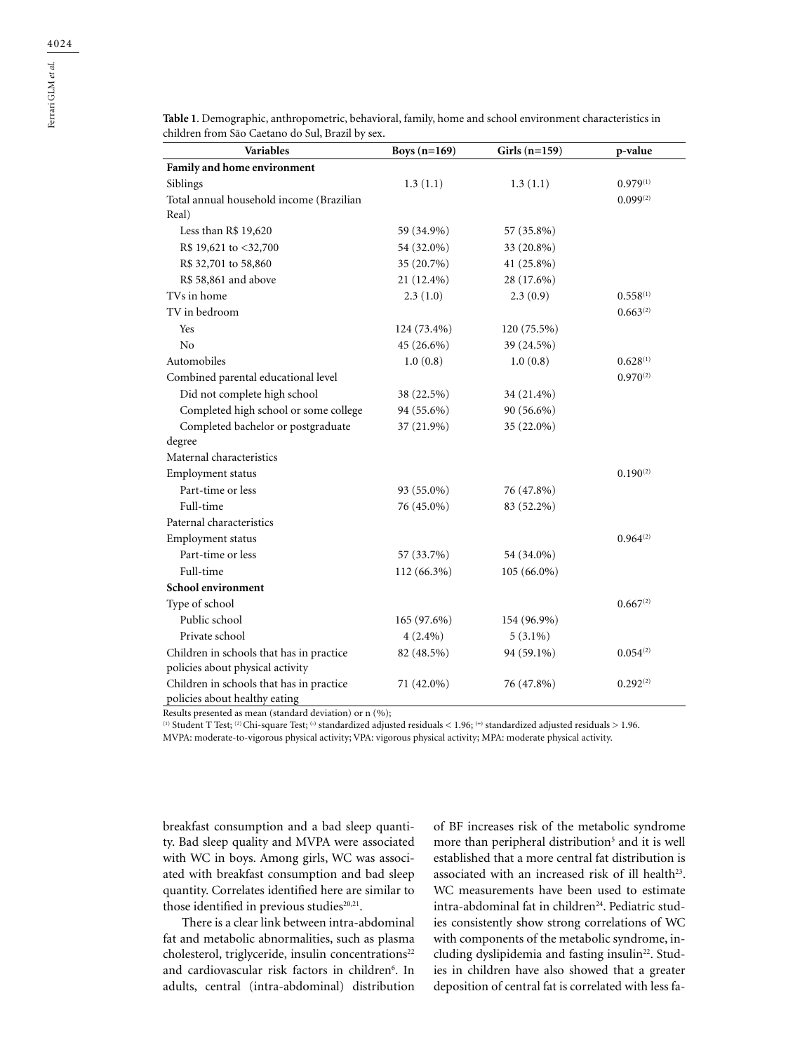| Family and home environment                                               |               |               |               |
|---------------------------------------------------------------------------|---------------|---------------|---------------|
| Siblings                                                                  | 1.3(1.1)      | 1.3(1.1)      | $0.979^{(1)}$ |
| Total annual household income (Brazilian                                  |               |               | $0.099^{(2)}$ |
| Real)                                                                     |               |               |               |
| Less than R\$ 19,620                                                      | 59 (34.9%)    | 57 (35.8%)    |               |
| R\$ 19,621 to <32,700                                                     | 54 (32.0%)    | 33 (20.8%)    |               |
| R\$ 32,701 to 58,860                                                      | 35 (20.7%)    | 41 (25.8%)    |               |
| R\$ 58,861 and above                                                      | 21 (12.4%)    | 28 (17.6%)    |               |
| TVs in home                                                               | 2.3(1.0)      | 2.3(0.9)      | 0.558(1)      |
| TV in bedroom                                                             |               |               | $0.663^{(2)}$ |
| Yes                                                                       | 124 (73.4%)   | 120 (75.5%)   |               |
| No                                                                        | 45 (26.6%)    | 39 (24.5%)    |               |
| Automobiles                                                               | 1.0(0.8)      | 1.0(0.8)      | 0.628(1)      |
| Combined parental educational level                                       |               |               | $0.970^{(2)}$ |
| Did not complete high school                                              | 38 (22.5%)    | 34 (21.4%)    |               |
| Completed high school or some college                                     | 94 (55.6%)    | 90 (56.6%)    |               |
| Completed bachelor or postgraduate                                        | 37 (21.9%)    | 35 (22.0%)    |               |
| degree                                                                    |               |               |               |
| Maternal characteristics                                                  |               |               |               |
| Employment status                                                         |               |               | $0.190^{(2)}$ |
| Part-time or less                                                         | 93 (55.0%)    | 76 (47.8%)    |               |
| Full-time                                                                 | 76 (45.0%)    | 83 (52.2%)    |               |
| Paternal characteristics                                                  |               |               |               |
| Employment status                                                         |               |               | $0.964^{(2)}$ |
| Part-time or less                                                         | 57 (33.7%)    | 54 (34.0%)    |               |
| Full-time                                                                 | 112 (66.3%)   | $105(66.0\%)$ |               |
| School environment                                                        |               |               |               |
| Type of school                                                            |               |               | $0.667^{(2)}$ |
| Public school                                                             | $165(97.6\%)$ | 154 (96.9%)   |               |
| Private school                                                            | $4(2.4\%)$    | $5(3.1\%)$    |               |
| Children in schools that has in practice                                  | 82 (48.5%)    | 94 (59.1%)    | $0.054^{(2)}$ |
| policies about physical activity                                          |               |               |               |
| Children in schools that has in practice<br>policies about healthy eating | 71 (42.0%)    | 76 (47.8%)    | $0.292^{(2)}$ |

**Table 1**. Demographic, anthropometric, behavioral, family, home and school environment characteristics in children from São Caetano do Sul, Brazil by sex.

**Variables Boys (n=169) Girls (n=159) p-value**

Results presented as mean (standard deviation) or n (%);

(1) Student T Test; (2) Chi-square Test; **(-)** standardized adjusted residuals < 1.96; **(+)** standardized adjusted residuals > 1.96. MVPA: moderate-to-vigorous physical activity; VPA: vigorous physical activity; MPA: moderate physical activity.

breakfast consumption and a bad sleep quantity. Bad sleep quality and MVPA were associated with WC in boys. Among girls, WC was associated with breakfast consumption and bad sleep

those identified in previous studies<sup>20,21</sup>. There is a clear link between intra-abdominal fat and metabolic abnormalities, such as plasma cholesterol, triglyceride, insulin concentrations<sup>22</sup> and cardiovascular risk factors in children<sup>6</sup>. In adults, central (intra-abdominal) distribution

quantity. Correlates identified here are similar to

of BF increases risk of the metabolic syndrome more than peripheral distribution<sup>5</sup> and it is well established that a more central fat distribution is associated with an increased risk of ill health<sup>23</sup>. WC measurements have been used to estimate intra-abdominal fat in children<sup>24</sup>. Pediatric studies consistently show strong correlations of WC with components of the metabolic syndrome, including dyslipidemia and fasting insulin<sup>22</sup>. Studies in children have also showed that a greater deposition of central fat is correlated with less fa-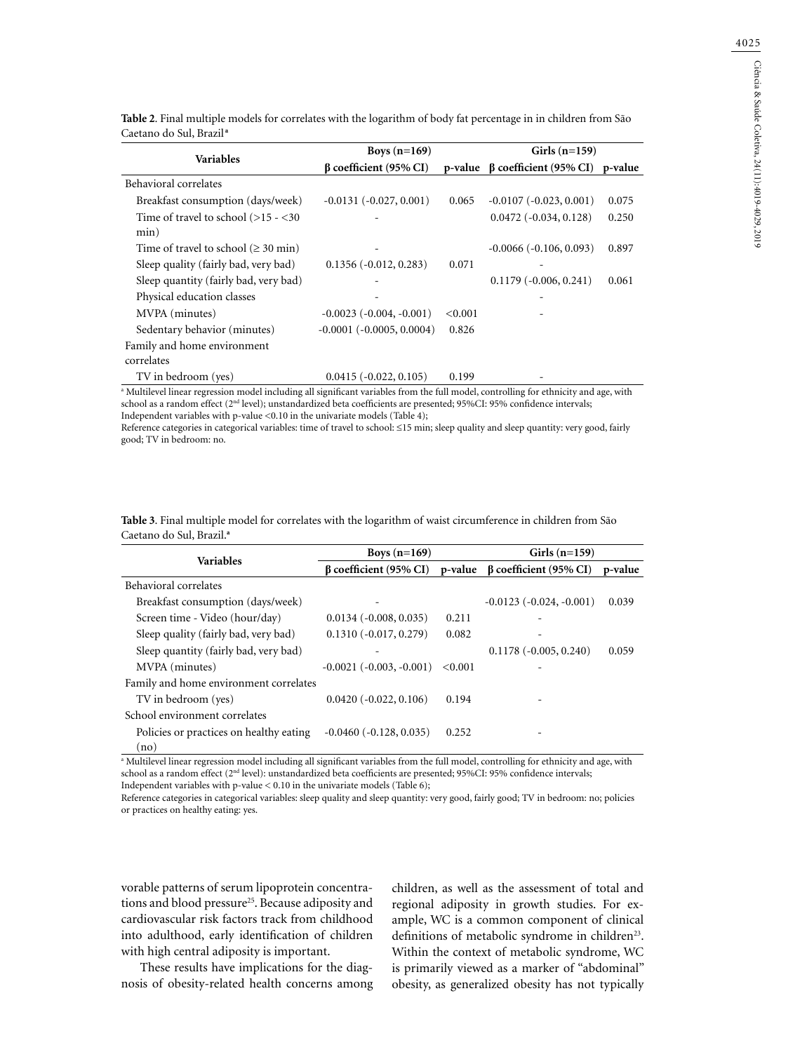| <b>Variables</b>                                | Boys $(n=169)$                    |         | $Girls(n=159)$                         |       |
|-------------------------------------------------|-----------------------------------|---------|----------------------------------------|-------|
|                                                 | $\beta$ coefficient (95% CI)      |         | p-value ß coefficient (95% CI) p-value |       |
| Behavioral correlates                           |                                   |         |                                        |       |
| Breakfast consumption (days/week)               | $-0.0131(-0.027, 0.001)$          | 0.065   | $-0.0107(-0.023, 0.001)$               | 0.075 |
| Time of travel to school $(>15 - < 30)$<br>min) |                                   |         | $0.0472(-0.034, 0.128)$                | 0.250 |
| Time of travel to school ( $\geq 30$ min)       |                                   |         | $-0.0066$ ( $-0.106$ , 0.093)          | 0.897 |
| Sleep quality (fairly bad, very bad)            | $0.1356(-0.012, 0.283)$           | 0.071   |                                        |       |
| Sleep quantity (fairly bad, very bad)           |                                   |         | $0.1179(-0.006, 0.241)$                | 0.061 |
| Physical education classes                      |                                   |         |                                        |       |
| MVPA (minutes)                                  | $-0.0023$ ( $-0.004$ , $-0.001$ ) | < 0.001 |                                        |       |
| Sedentary behavior (minutes)                    | $-0.0001$ ( $-0.0005, 0.0004$ )   | 0.826   |                                        |       |
| Family and home environment                     |                                   |         |                                        |       |
| correlates                                      |                                   |         |                                        |       |
| TV in bedroom (yes)                             | $0.0415(-0.022, 0.105)$           | 0.199   |                                        |       |

**Table 2**. Final multiple models for correlates with the logarithm of body fat percentage in in children from São Caetano do Sul, Brazil**<sup>a</sup>**

a Multilevel linear regression model including all significant variables from the full model, controlling for ethnicity and age, with school as a random effect (2nd level); unstandardized beta coefficients are presented; 95%CI: 95% confidence intervals; Independent variables with p-value <0.10 in the univariate models (Table 4);

Reference categories in categorical variables: time of travel to school: ≤15 min; sleep quality and sleep quantity: very good, fairly good; TV in bedroom: no.

**Table 3**. Final multiple model for correlates with the logarithm of waist circumference in children from São Caetano do Sul, Brazil.**<sup>a</sup>**

| <b>Variables</b>                        | Boys $(n=169)$                    |         | $Girls (n=159)$              |         |
|-----------------------------------------|-----------------------------------|---------|------------------------------|---------|
|                                         | $\beta$ coefficient (95% CI)      | p-value | $\beta$ coefficient (95% CI) | p-value |
| Behavioral correlates                   |                                   |         |                              |         |
| Breakfast consumption (days/week)       |                                   |         | $-0.0123(-0.024, -0.001)$    | 0.039   |
| Screen time - Video (hour/day)          | $0.0134 (-0.008, 0.035)$          | 0.211   |                              |         |
| Sleep quality (fairly bad, very bad)    | $0.1310(-0.017, 0.279)$           | 0.082   |                              |         |
| Sleep quantity (fairly bad, very bad)   |                                   |         | $0.1178(-0.005, 0.240)$      | 0.059   |
| MVPA (minutes)                          | $-0.0021$ ( $-0.003$ , $-0.001$ ) | <0.001  |                              |         |
| Family and home environment correlates  |                                   |         |                              |         |
| TV in bedroom (yes)                     | $0.0420(-0.022, 0.106)$           | 0.194   |                              |         |
| School environment correlates           |                                   |         |                              |         |
| Policies or practices on healthy eating | $-0.0460(-0.128, 0.035)$          | 0.252   |                              |         |
| (no)                                    |                                   |         |                              |         |

a Multilevel linear regression model including all significant variables from the full model, controlling for ethnicity and age, with school as a random effect (2<sup>nd</sup> level): unstandardized beta coefficients are presented; 95%CI: 95% confidence intervals; Independent variables with p-value < 0.10 in the univariate models (Table 6);

Reference categories in categorical variables: sleep quality and sleep quantity: very good, fairly good; TV in bedroom: no; policies or practices on healthy eating: yes.

vorable patterns of serum lipoprotein concentrations and blood pressure<sup>25</sup>. Because adiposity and cardiovascular risk factors track from childhood into adulthood, early identification of children with high central adiposity is important.

These results have implications for the diagnosis of obesity-related health concerns among children, as well as the assessment of total and regional adiposity in growth studies. For example, WC is a common component of clinical definitions of metabolic syndrome in children<sup>23</sup>. Within the context of metabolic syndrome, WC is primarily viewed as a marker of "abdominal" obesity, as generalized obesity has not typically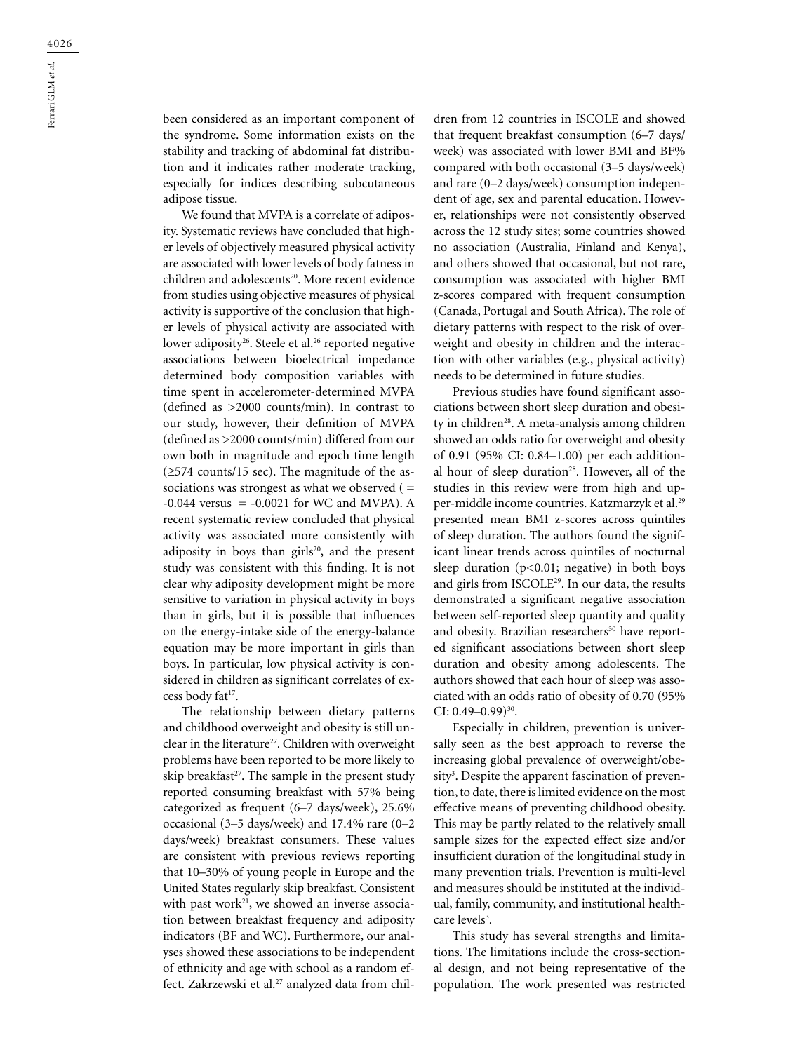been considered as an important component of the syndrome. Some information exists on the stability and tracking of abdominal fat distribution and it indicates rather moderate tracking, especially for indices describing subcutaneous adipose tissue.

We found that MVPA is a correlate of adiposity. Systematic reviews have concluded that higher levels of objectively measured physical activity are associated with lower levels of body fatness in children and adolescents<sup>20</sup>. More recent evidence from studies using objective measures of physical activity is supportive of the conclusion that higher levels of physical activity are associated with lower adiposity<sup>26</sup>. Steele et al.<sup>26</sup> reported negative associations between bioelectrical impedance determined body composition variables with time spent in accelerometer-determined MVPA (defined as >2000 counts/min). In contrast to our study, however, their definition of MVPA (defined as >2000 counts/min) differed from our own both in magnitude and epoch time length (≥574 counts/15 sec). The magnitude of the associations was strongest as what we observed ( $=$  $-0.044$  versus =  $-0.0021$  for WC and MVPA). A recent systematic review concluded that physical activity was associated more consistently with adiposity in boys than girls<sup>20</sup>, and the present study was consistent with this fınding. It is not clear why adiposity development might be more sensitive to variation in physical activity in boys than in girls, but it is possible that influences on the energy-intake side of the energy-balance equation may be more important in girls than boys. In particular, low physical activity is considered in children as significant correlates of excess body fat<sup>17</sup>.

The relationship between dietary patterns and childhood overweight and obesity is still unclear in the literature<sup>27</sup>. Children with overweight problems have been reported to be more likely to skip breakfast<sup>27</sup>. The sample in the present study reported consuming breakfast with 57% being categorized as frequent (6–7 days/week), 25.6% occasional (3–5 days/week) and 17.4% rare (0–2 days/week) breakfast consumers. These values are consistent with previous reviews reporting that 10–30% of young people in Europe and the United States regularly skip breakfast. Consistent with past work $21$ , we showed an inverse association between breakfast frequency and adiposity indicators (BF and WC). Furthermore, our analyses showed these associations to be independent of ethnicity and age with school as a random effect. Zakrzewski et al.<sup>27</sup> analyzed data from children from 12 countries in ISCOLE and showed that frequent breakfast consumption (6–7 days/ week) was associated with lower BMI and BF% compared with both occasional (3–5 days/week) and rare (0–2 days/week) consumption independent of age, sex and parental education. However, relationships were not consistently observed across the 12 study sites; some countries showed no association (Australia, Finland and Kenya), and others showed that occasional, but not rare, consumption was associated with higher BMI z-scores compared with frequent consumption (Canada, Portugal and South Africa). The role of dietary patterns with respect to the risk of overweight and obesity in children and the interaction with other variables (e.g., physical activity) needs to be determined in future studies.

Previous studies have found significant associations between short sleep duration and obesity in children<sup>28</sup>. A meta-analysis among children showed an odds ratio for overweight and obesity of 0.91 (95% CI: 0.84–1.00) per each additional hour of sleep duration<sup>28</sup>. However, all of the studies in this review were from high and upper-middle income countries. Katzmarzyk et al.29 presented mean BMI z-scores across quintiles of sleep duration. The authors found the significant linear trends across quintiles of nocturnal sleep duration ( $p<0.01$ ; negative) in both boys and girls from ISCOLE<sup>29</sup>. In our data, the results demonstrated a significant negative association between self-reported sleep quantity and quality and obesity. Brazilian researchers<sup>30</sup> have reported significant associations between short sleep duration and obesity among adolescents. The authors showed that each hour of sleep was associated with an odds ratio of obesity of 0.70 (95% CI:  $0.49 - 0.99$ )<sup>30</sup>.

Especially in children, prevention is universally seen as the best approach to reverse the increasing global prevalence of overweight/obesity<sup>3</sup>. Despite the apparent fascination of prevention, to date, there is limited evidence on the most effective means of preventing childhood obesity. This may be partly related to the relatively small sample sizes for the expected effect size and/or insufficient duration of the longitudinal study in many prevention trials. Prevention is multi-level and measures should be instituted at the individual, family, community, and institutional healthcare levels<sup>3</sup>.

This study has several strengths and limitations. The limitations include the cross-sectional design, and not being representative of the population. The work presented was restricted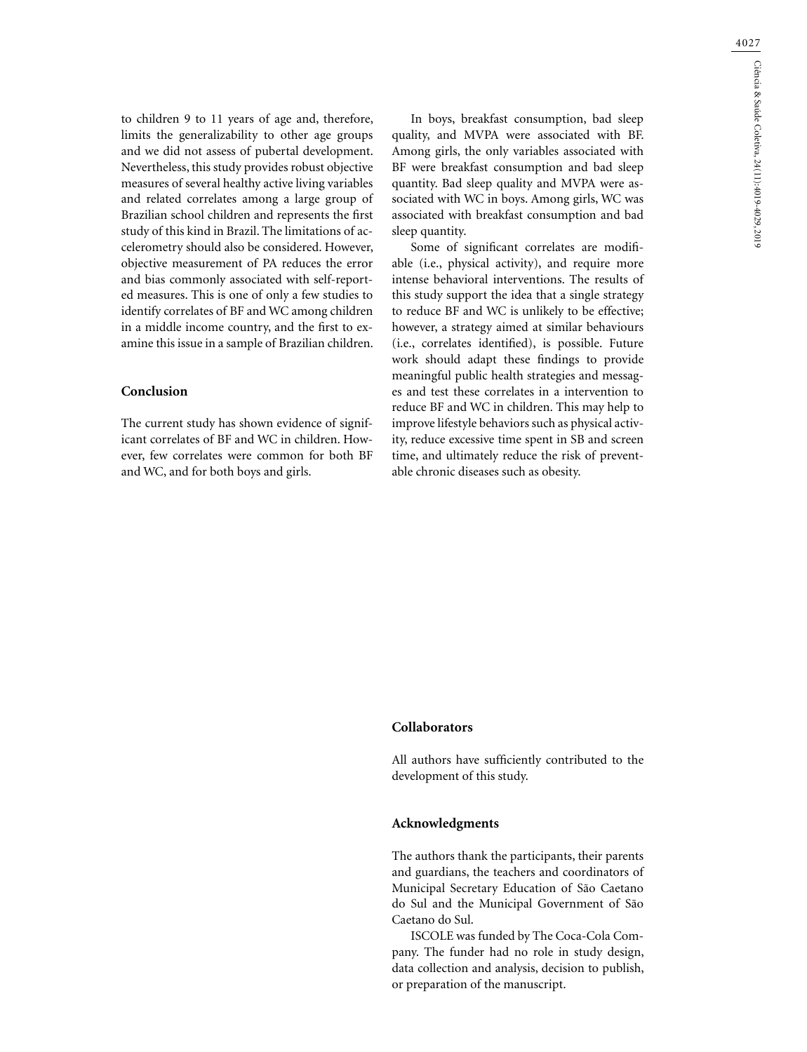4027

to children 9 to 11 years of age and, therefore, limits the generalizability to other age groups and we did not assess of pubertal development. Nevertheless, this study provides robust objective measures of several healthy active living variables and related correlates among a large group of Brazilian school children and represents the first study of this kind in Brazil. The limitations of accelerometry should also be considered. However, objective measurement of PA reduces the error and bias commonly associated with self-reported measures. This is one of only a few studies to identify correlates of BF and WC among children in a middle income country, and the first to examine this issue in a sample of Brazilian children.

## **Conclusion**

The current study has shown evidence of significant correlates of BF and WC in children. However, few correlates were common for both BF and WC, and for both boys and girls.

In boys, breakfast consumption, bad sleep quality, and MVPA were associated with BF. Among girls, the only variables associated with BF were breakfast consumption and bad sleep quantity. Bad sleep quality and MVPA were associated with WC in boys. Among girls, WC was associated with breakfast consumption and bad sleep quantity.

Some of significant correlates are modifiable (i.e., physical activity), and require more intense behavioral interventions. The results of this study support the idea that a single strategy to reduce BF and WC is unlikely to be effective; however, a strategy aimed at similar behaviours (i.e., correlates identified), is possible. Future work should adapt these findings to provide meaningful public health strategies and messages and test these correlates in a intervention to reduce BF and WC in children. This may help to improve lifestyle behaviors such as physical activity, reduce excessive time spent in SB and screen time, and ultimately reduce the risk of preventable chronic diseases such as obesity.

### **Collaborators**

All authors have sufficiently contributed to the development of this study.

#### **Acknowledgments**

The authors thank the participants, their parents and guardians, the teachers and coordinators of Municipal Secretary Education of São Caetano do Sul and the Municipal Government of São Caetano do Sul.

ISCOLE was funded by The Coca-Cola Company. The funder had no role in study design, data collection and analysis, decision to publish, or preparation of the manuscript.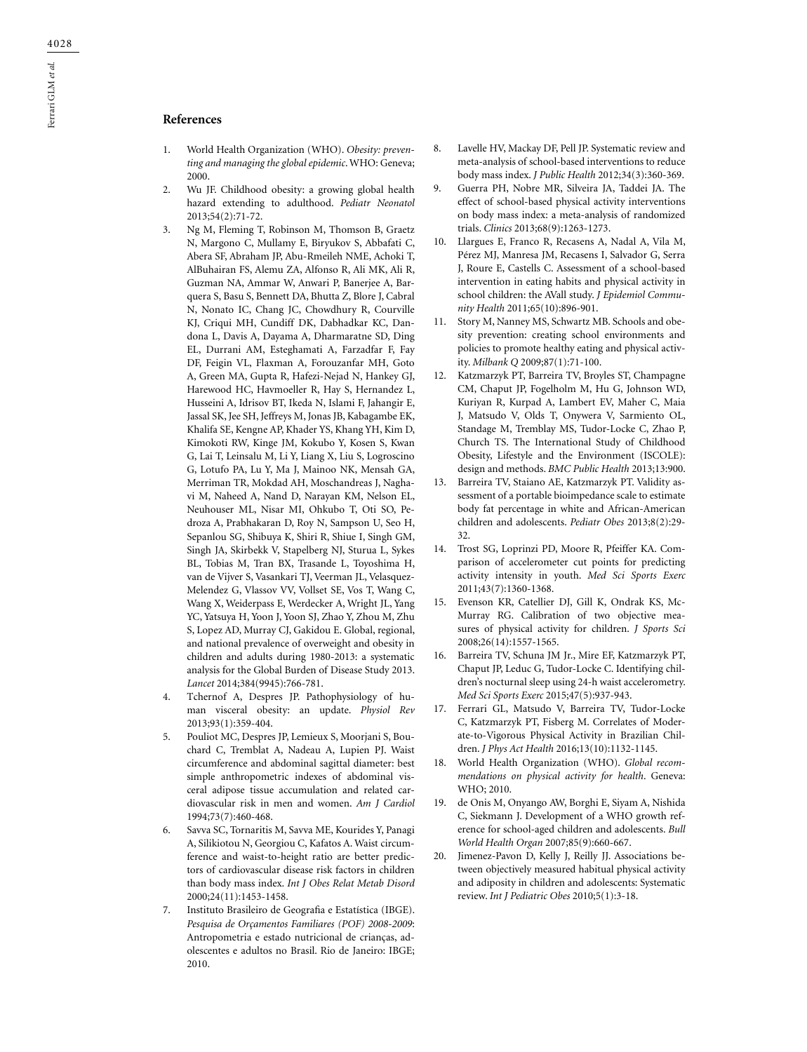# **References**

- 1. World Health Organization (WHO). *Obesity: preventing and managing the global epidemic*. WHO: Geneva; 2000.
- 2. Wu JF. Childhood obesity: a growing global health hazard extending to adulthood. *Pediatr Neonatol* 2013;54(2):71-72.
- 3. Ng M, Fleming T, Robinson M, Thomson B, Graetz N, Margono C, Mullamy E, Biryukov S, Abbafati C, Abera SF, Abraham JP, Abu-Rmeileh NME, Achoki T, [AlBuhairan FS,](https://www.ncbi.nlm.nih.gov/pubmed/?term=AlBuhairan%20FS%5BAuthor%5D&cauthor=true&cauthor_uid=24880830) [Alemu ZA](https://www.ncbi.nlm.nih.gov/pubmed/?term=Alemu%20ZA%5BAuthor%5D&cauthor=true&cauthor_uid=24880830), [Alfonso R](https://www.ncbi.nlm.nih.gov/pubmed/?term=Alfonso%20R%5BAuthor%5D&cauthor=true&cauthor_uid=24880830), [Ali MK](https://www.ncbi.nlm.nih.gov/pubmed/?term=Ali%20MK%5BAuthor%5D&cauthor=true&cauthor_uid=24880830), [Ali R,](https://www.ncbi.nlm.nih.gov/pubmed/?term=Ali%20R%5BAuthor%5D&cauthor=true&cauthor_uid=24880830) [Guzman NA,](https://www.ncbi.nlm.nih.gov/pubmed/?term=Guzman%20NA%5BAuthor%5D&cauthor=true&cauthor_uid=24880830) [Ammar W](https://www.ncbi.nlm.nih.gov/pubmed/?term=Ammar%20W%5BAuthor%5D&cauthor=true&cauthor_uid=24880830), [Anwari P,](https://www.ncbi.nlm.nih.gov/pubmed/?term=Anwari%20P%5BAuthor%5D&cauthor=true&cauthor_uid=24880830) [Banerjee A](https://www.ncbi.nlm.nih.gov/pubmed/?term=Banerjee%20A%5BAuthor%5D&cauthor=true&cauthor_uid=24880830), [Bar](https://www.ncbi.nlm.nih.gov/pubmed/?term=Barquera%20S%5BAuthor%5D&cauthor=true&cauthor_uid=24880830)[quera S,](https://www.ncbi.nlm.nih.gov/pubmed/?term=Barquera%20S%5BAuthor%5D&cauthor=true&cauthor_uid=24880830) [Basu S](https://www.ncbi.nlm.nih.gov/pubmed/?term=Basu%20S%5BAuthor%5D&cauthor=true&cauthor_uid=24880830), [Bennett DA](https://www.ncbi.nlm.nih.gov/pubmed/?term=Bennett%20DA%5BAuthor%5D&cauthor=true&cauthor_uid=24880830), [Bhutta Z,](https://www.ncbi.nlm.nih.gov/pubmed/?term=Bhutta%20Z%5BAuthor%5D&cauthor=true&cauthor_uid=24880830) [Blore J,](https://www.ncbi.nlm.nih.gov/pubmed/?term=Blore%20J%5BAuthor%5D&cauthor=true&cauthor_uid=24880830) [Cabral](https://www.ncbi.nlm.nih.gov/pubmed/?term=Cabral%20N%5BAuthor%5D&cauthor=true&cauthor_uid=24880830) [N,](https://www.ncbi.nlm.nih.gov/pubmed/?term=Cabral%20N%5BAuthor%5D&cauthor=true&cauthor_uid=24880830) [Nonato IC](https://www.ncbi.nlm.nih.gov/pubmed/?term=Nonato%20IC%5BAuthor%5D&cauthor=true&cauthor_uid=24880830), [Chang JC,](https://www.ncbi.nlm.nih.gov/pubmed/?term=Chang%20JC%5BAuthor%5D&cauthor=true&cauthor_uid=24880830) [Chowdhury R](https://www.ncbi.nlm.nih.gov/pubmed/?term=Chowdhury%20R%5BAuthor%5D&cauthor=true&cauthor_uid=24880830), [Courville](https://www.ncbi.nlm.nih.gov/pubmed/?term=Courville%20KJ%5BAuthor%5D&cauthor=true&cauthor_uid=24880830) [KJ,](https://www.ncbi.nlm.nih.gov/pubmed/?term=Courville%20KJ%5BAuthor%5D&cauthor=true&cauthor_uid=24880830) [Criqui MH](https://www.ncbi.nlm.nih.gov/pubmed/?term=Criqui%20MH%5BAuthor%5D&cauthor=true&cauthor_uid=24880830), [Cundiff DK,](https://www.ncbi.nlm.nih.gov/pubmed/?term=Cundiff%20DK%5BAuthor%5D&cauthor=true&cauthor_uid=24880830) [Dabhadkar KC,](https://www.ncbi.nlm.nih.gov/pubmed/?term=Dabhadkar%20KC%5BAuthor%5D&cauthor=true&cauthor_uid=24880830) [Dan](https://www.ncbi.nlm.nih.gov/pubmed/?term=Dandona%20L%5BAuthor%5D&cauthor=true&cauthor_uid=24880830)[dona L,](https://www.ncbi.nlm.nih.gov/pubmed/?term=Dandona%20L%5BAuthor%5D&cauthor=true&cauthor_uid=24880830) [Davis A,](https://www.ncbi.nlm.nih.gov/pubmed/?term=Davis%20A%5BAuthor%5D&cauthor=true&cauthor_uid=24880830) [Dayama A,](https://www.ncbi.nlm.nih.gov/pubmed/?term=Dayama%20A%5BAuthor%5D&cauthor=true&cauthor_uid=24880830) [Dharmaratne SD](https://www.ncbi.nlm.nih.gov/pubmed/?term=Dharmaratne%20SD%5BAuthor%5D&cauthor=true&cauthor_uid=24880830), [Ding](https://www.ncbi.nlm.nih.gov/pubmed/?term=Ding%20EL%5BAuthor%5D&cauthor=true&cauthor_uid=24880830) [EL,](https://www.ncbi.nlm.nih.gov/pubmed/?term=Ding%20EL%5BAuthor%5D&cauthor=true&cauthor_uid=24880830) [Durrani AM,](https://www.ncbi.nlm.nih.gov/pubmed/?term=Durrani%20AM%5BAuthor%5D&cauthor=true&cauthor_uid=24880830) [Esteghamati A,](https://www.ncbi.nlm.nih.gov/pubmed/?term=Esteghamati%20A%5BAuthor%5D&cauthor=true&cauthor_uid=24880830) [Farzadfar F,](https://www.ncbi.nlm.nih.gov/pubmed/?term=Farzadfar%20F%5BAuthor%5D&cauthor=true&cauthor_uid=24880830) [Fay](https://www.ncbi.nlm.nih.gov/pubmed/?term=Fay%20DF%5BAuthor%5D&cauthor=true&cauthor_uid=24880830) [DF](https://www.ncbi.nlm.nih.gov/pubmed/?term=Fay%20DF%5BAuthor%5D&cauthor=true&cauthor_uid=24880830), [Feigin VL,](https://www.ncbi.nlm.nih.gov/pubmed/?term=Feigin%20VL%5BAuthor%5D&cauthor=true&cauthor_uid=24880830) [Flaxman A,](https://www.ncbi.nlm.nih.gov/pubmed/?term=Flaxman%20A%5BAuthor%5D&cauthor=true&cauthor_uid=24880830) [Forouzanfar MH](https://www.ncbi.nlm.nih.gov/pubmed/?term=Forouzanfar%20MH%5BAuthor%5D&cauthor=true&cauthor_uid=24880830), [Goto](https://www.ncbi.nlm.nih.gov/pubmed/?term=Goto%20A%5BAuthor%5D&cauthor=true&cauthor_uid=24880830) [A](https://www.ncbi.nlm.nih.gov/pubmed/?term=Goto%20A%5BAuthor%5D&cauthor=true&cauthor_uid=24880830), [Green MA](https://www.ncbi.nlm.nih.gov/pubmed/?term=Green%20MA%5BAuthor%5D&cauthor=true&cauthor_uid=24880830), [Gupta R,](https://www.ncbi.nlm.nih.gov/pubmed/?term=Gupta%20R%5BAuthor%5D&cauthor=true&cauthor_uid=24880830) [Hafezi-Nejad N,](https://www.ncbi.nlm.nih.gov/pubmed/?term=Hafezi-Nejad%20N%5BAuthor%5D&cauthor=true&cauthor_uid=24880830) [Hankey GJ,](https://www.ncbi.nlm.nih.gov/pubmed/?term=Hankey%20GJ%5BAuthor%5D&cauthor=true&cauthor_uid=24880830) [Harewood HC,](https://www.ncbi.nlm.nih.gov/pubmed/?term=Harewood%20HC%5BAuthor%5D&cauthor=true&cauthor_uid=24880830) [Havmoeller R,](https://www.ncbi.nlm.nih.gov/pubmed/?term=Havmoeller%20R%5BAuthor%5D&cauthor=true&cauthor_uid=24880830) [Hay S,](https://www.ncbi.nlm.nih.gov/pubmed/?term=Hay%20S%5BAuthor%5D&cauthor=true&cauthor_uid=24880830) [Hernandez L,](https://www.ncbi.nlm.nih.gov/pubmed/?term=Hernandez%20L%5BAuthor%5D&cauthor=true&cauthor_uid=24880830) [Husseini A,](https://www.ncbi.nlm.nih.gov/pubmed/?term=Husseini%20A%5BAuthor%5D&cauthor=true&cauthor_uid=24880830) [Idrisov BT](https://www.ncbi.nlm.nih.gov/pubmed/?term=Idrisov%20BT%5BAuthor%5D&cauthor=true&cauthor_uid=24880830), [Ikeda N](https://www.ncbi.nlm.nih.gov/pubmed/?term=Ikeda%20N%5BAuthor%5D&cauthor=true&cauthor_uid=24880830), [Islami F](https://www.ncbi.nlm.nih.gov/pubmed/?term=Islami%20F%5BAuthor%5D&cauthor=true&cauthor_uid=24880830), [Jahangir E,](https://www.ncbi.nlm.nih.gov/pubmed/?term=Jahangir%20E%5BAuthor%5D&cauthor=true&cauthor_uid=24880830) [Jassal SK,](https://www.ncbi.nlm.nih.gov/pubmed/?term=Jassal%20SK%5BAuthor%5D&cauthor=true&cauthor_uid=24880830) [Jee SH,](https://www.ncbi.nlm.nih.gov/pubmed/?term=Jee%20SH%5BAuthor%5D&cauthor=true&cauthor_uid=24880830) [Jeffreys M](https://www.ncbi.nlm.nih.gov/pubmed/?term=Jeffreys%20M%5BAuthor%5D&cauthor=true&cauthor_uid=24880830), [Jonas JB,](https://www.ncbi.nlm.nih.gov/pubmed/?term=Jonas%20JB%5BAuthor%5D&cauthor=true&cauthor_uid=24880830) [Kabagambe EK,](https://www.ncbi.nlm.nih.gov/pubmed/?term=Kabagambe%20EK%5BAuthor%5D&cauthor=true&cauthor_uid=24880830) [Khalifa SE,](https://www.ncbi.nlm.nih.gov/pubmed/?term=Khalifa%20SE%5BAuthor%5D&cauthor=true&cauthor_uid=24880830) [Kengne AP,](https://www.ncbi.nlm.nih.gov/pubmed/?term=Kengne%20AP%5BAuthor%5D&cauthor=true&cauthor_uid=24880830) [Khader YS](https://www.ncbi.nlm.nih.gov/pubmed/?term=Khader%20YS%5BAuthor%5D&cauthor=true&cauthor_uid=24880830), [Khang YH](https://www.ncbi.nlm.nih.gov/pubmed/?term=Khang%20YH%5BAuthor%5D&cauthor=true&cauthor_uid=24880830), [Kim D,](https://www.ncbi.nlm.nih.gov/pubmed/?term=Kim%20D%5BAuthor%5D&cauthor=true&cauthor_uid=24880830) [Kimokoti RW,](https://www.ncbi.nlm.nih.gov/pubmed/?term=Kimokoti%20RW%5BAuthor%5D&cauthor=true&cauthor_uid=24880830) [Kinge JM,](https://www.ncbi.nlm.nih.gov/pubmed/?term=Kinge%20JM%5BAuthor%5D&cauthor=true&cauthor_uid=24880830) [Kokubo Y](https://www.ncbi.nlm.nih.gov/pubmed/?term=Kokubo%20Y%5BAuthor%5D&cauthor=true&cauthor_uid=24880830), [Kosen S](https://www.ncbi.nlm.nih.gov/pubmed/?term=Kosen%20S%5BAuthor%5D&cauthor=true&cauthor_uid=24880830), [Kwan](https://www.ncbi.nlm.nih.gov/pubmed/?term=Kwan%20G%5BAuthor%5D&cauthor=true&cauthor_uid=24880830) [G,](https://www.ncbi.nlm.nih.gov/pubmed/?term=Kwan%20G%5BAuthor%5D&cauthor=true&cauthor_uid=24880830) [Lai T](https://www.ncbi.nlm.nih.gov/pubmed/?term=Lai%20T%5BAuthor%5D&cauthor=true&cauthor_uid=24880830), [Leinsalu M](https://www.ncbi.nlm.nih.gov/pubmed/?term=Leinsalu%20M%5BAuthor%5D&cauthor=true&cauthor_uid=24880830), [Li Y](https://www.ncbi.nlm.nih.gov/pubmed/?term=Li%20Y%5BAuthor%5D&cauthor=true&cauthor_uid=24880830), [Liang X](https://www.ncbi.nlm.nih.gov/pubmed/?term=Liang%20X%5BAuthor%5D&cauthor=true&cauthor_uid=24880830), [Liu S,](https://www.ncbi.nlm.nih.gov/pubmed/?term=Liu%20S%5BAuthor%5D&cauthor=true&cauthor_uid=24880830) [Logroscino](https://www.ncbi.nlm.nih.gov/pubmed/?term=Logroscino%20G%5BAuthor%5D&cauthor=true&cauthor_uid=24880830) [G,](https://www.ncbi.nlm.nih.gov/pubmed/?term=Logroscino%20G%5BAuthor%5D&cauthor=true&cauthor_uid=24880830) [Lotufo PA](https://www.ncbi.nlm.nih.gov/pubmed/?term=Lotufo%20PA%5BAuthor%5D&cauthor=true&cauthor_uid=24880830), [Lu Y](https://www.ncbi.nlm.nih.gov/pubmed/?term=Lu%20Y%5BAuthor%5D&cauthor=true&cauthor_uid=24880830), [Ma J](https://www.ncbi.nlm.nih.gov/pubmed/?term=Ma%20J%5BAuthor%5D&cauthor=true&cauthor_uid=24880830), [Mainoo NK,](https://www.ncbi.nlm.nih.gov/pubmed/?term=Mainoo%20NK%5BAuthor%5D&cauthor=true&cauthor_uid=24880830) [Mensah GA,](https://www.ncbi.nlm.nih.gov/pubmed/?term=Mensah%20GA%5BAuthor%5D&cauthor=true&cauthor_uid=24880830) [Merriman TR,](https://www.ncbi.nlm.nih.gov/pubmed/?term=Merriman%20TR%5BAuthor%5D&cauthor=true&cauthor_uid=24880830) [Mokdad AH,](https://www.ncbi.nlm.nih.gov/pubmed/?term=Mokdad%20AH%5BAuthor%5D&cauthor=true&cauthor_uid=24880830) [Moschandreas J](https://www.ncbi.nlm.nih.gov/pubmed/?term=Moschandreas%20J%5BAuthor%5D&cauthor=true&cauthor_uid=24880830), [Nagha](https://www.ncbi.nlm.nih.gov/pubmed/?term=Naghavi%20M%5BAuthor%5D&cauthor=true&cauthor_uid=24880830)[vi M,](https://www.ncbi.nlm.nih.gov/pubmed/?term=Naghavi%20M%5BAuthor%5D&cauthor=true&cauthor_uid=24880830) [Naheed A,](https://www.ncbi.nlm.nih.gov/pubmed/?term=Naheed%20A%5BAuthor%5D&cauthor=true&cauthor_uid=24880830) [Nand D](https://www.ncbi.nlm.nih.gov/pubmed/?term=Nand%20D%5BAuthor%5D&cauthor=true&cauthor_uid=24880830), [Narayan KM](https://www.ncbi.nlm.nih.gov/pubmed/?term=Narayan%20KM%5BAuthor%5D&cauthor=true&cauthor_uid=24880830), [Nelson EL,](https://www.ncbi.nlm.nih.gov/pubmed/?term=Nelson%20EL%5BAuthor%5D&cauthor=true&cauthor_uid=24880830) [Neuhouser ML](https://www.ncbi.nlm.nih.gov/pubmed/?term=Neuhouser%20ML%5BAuthor%5D&cauthor=true&cauthor_uid=24880830), [Nisar MI](https://www.ncbi.nlm.nih.gov/pubmed/?term=Nisar%20MI%5BAuthor%5D&cauthor=true&cauthor_uid=24880830), [Ohkubo T,](https://www.ncbi.nlm.nih.gov/pubmed/?term=Ohkubo%20T%5BAuthor%5D&cauthor=true&cauthor_uid=24880830) [Oti SO,](https://www.ncbi.nlm.nih.gov/pubmed/?term=Oti%20SO%5BAuthor%5D&cauthor=true&cauthor_uid=24880830) [Pe](https://www.ncbi.nlm.nih.gov/pubmed/?term=Pedroza%20A%5BAuthor%5D&cauthor=true&cauthor_uid=24880830)[droza A](https://www.ncbi.nlm.nih.gov/pubmed/?term=Pedroza%20A%5BAuthor%5D&cauthor=true&cauthor_uid=24880830), [Prabhakaran D](https://www.ncbi.nlm.nih.gov/pubmed/?term=Prabhakaran%20D%5BAuthor%5D&cauthor=true&cauthor_uid=24880830), [Roy N](https://www.ncbi.nlm.nih.gov/pubmed/?term=Roy%20N%5BAuthor%5D&cauthor=true&cauthor_uid=24880830), [Sampson U,](https://www.ncbi.nlm.nih.gov/pubmed/?term=Sampson%20U%5BAuthor%5D&cauthor=true&cauthor_uid=24880830) [Seo H,](https://www.ncbi.nlm.nih.gov/pubmed/?term=Seo%20H%5BAuthor%5D&cauthor=true&cauthor_uid=24880830) [Sepanlou SG](https://www.ncbi.nlm.nih.gov/pubmed/?term=Sepanlou%20SG%5BAuthor%5D&cauthor=true&cauthor_uid=24880830), [Shibuya K](https://www.ncbi.nlm.nih.gov/pubmed/?term=Shibuya%20K%5BAuthor%5D&cauthor=true&cauthor_uid=24880830), [Shiri R,](https://www.ncbi.nlm.nih.gov/pubmed/?term=Shiri%20R%5BAuthor%5D&cauthor=true&cauthor_uid=24880830) [Shiue I,](https://www.ncbi.nlm.nih.gov/pubmed/?term=Shiue%20I%5BAuthor%5D&cauthor=true&cauthor_uid=24880830) [Singh GM,](https://www.ncbi.nlm.nih.gov/pubmed/?term=Singh%20GM%5BAuthor%5D&cauthor=true&cauthor_uid=24880830) [Singh JA](https://www.ncbi.nlm.nih.gov/pubmed/?term=Singh%20JA%5BAuthor%5D&cauthor=true&cauthor_uid=24880830), [Skirbekk V,](https://www.ncbi.nlm.nih.gov/pubmed/?term=Skirbekk%20V%5BAuthor%5D&cauthor=true&cauthor_uid=24880830) [Stapelberg NJ](https://www.ncbi.nlm.nih.gov/pubmed/?term=Stapelberg%20NJ%5BAuthor%5D&cauthor=true&cauthor_uid=24880830), [Sturua L,](https://www.ncbi.nlm.nih.gov/pubmed/?term=Sturua%20L%5BAuthor%5D&cauthor=true&cauthor_uid=24880830) [Sykes](https://www.ncbi.nlm.nih.gov/pubmed/?term=Sykes%20BL%5BAuthor%5D&cauthor=true&cauthor_uid=24880830) [BL,](https://www.ncbi.nlm.nih.gov/pubmed/?term=Sykes%20BL%5BAuthor%5D&cauthor=true&cauthor_uid=24880830) [Tobias M,](https://www.ncbi.nlm.nih.gov/pubmed/?term=Tobias%20M%5BAuthor%5D&cauthor=true&cauthor_uid=24880830) [Tran BX](https://www.ncbi.nlm.nih.gov/pubmed/?term=Tran%20BX%5BAuthor%5D&cauthor=true&cauthor_uid=24880830), [Trasande L](https://www.ncbi.nlm.nih.gov/pubmed/?term=Trasande%20L%5BAuthor%5D&cauthor=true&cauthor_uid=24880830), [Toyoshima H,](https://www.ncbi.nlm.nih.gov/pubmed/?term=Toyoshima%20H%5BAuthor%5D&cauthor=true&cauthor_uid=24880830) [van de Vijver S,](https://www.ncbi.nlm.nih.gov/pubmed/?term=van%20de%20Vijver%20S%5BAuthor%5D&cauthor=true&cauthor_uid=24880830) [Vasankari TJ,](https://www.ncbi.nlm.nih.gov/pubmed/?term=Vasankari%20TJ%5BAuthor%5D&cauthor=true&cauthor_uid=24880830) [Veerman JL,](https://www.ncbi.nlm.nih.gov/pubmed/?term=Veerman%20JL%5BAuthor%5D&cauthor=true&cauthor_uid=24880830) [Velasquez-](https://www.ncbi.nlm.nih.gov/pubmed/?term=Velasquez-Melendez%20G%5BAuthor%5D&cauthor=true&cauthor_uid=24880830)[Melendez G](https://www.ncbi.nlm.nih.gov/pubmed/?term=Velasquez-Melendez%20G%5BAuthor%5D&cauthor=true&cauthor_uid=24880830), [Vlassov VV,](https://www.ncbi.nlm.nih.gov/pubmed/?term=Vlassov%20VV%5BAuthor%5D&cauthor=true&cauthor_uid=24880830) [Vollset SE,](https://www.ncbi.nlm.nih.gov/pubmed/?term=Vollset%20SE%5BAuthor%5D&cauthor=true&cauthor_uid=24880830) [Vos T](https://www.ncbi.nlm.nih.gov/pubmed/?term=Vos%20T%5BAuthor%5D&cauthor=true&cauthor_uid=24880830), [Wang C,](https://www.ncbi.nlm.nih.gov/pubmed/?term=Wang%20C%5BAuthor%5D&cauthor=true&cauthor_uid=24880830) [Wang X](https://www.ncbi.nlm.nih.gov/pubmed/?term=Wang%20X%5BAuthor%5D&cauthor=true&cauthor_uid=24880830), [Weiderpass E,](https://www.ncbi.nlm.nih.gov/pubmed/?term=Weiderpass%20E%5BAuthor%5D&cauthor=true&cauthor_uid=24880830) [Werdecker A](https://www.ncbi.nlm.nih.gov/pubmed/?term=Werdecker%20A%5BAuthor%5D&cauthor=true&cauthor_uid=24880830), [Wright JL,](https://www.ncbi.nlm.nih.gov/pubmed/?term=Wright%20JL%5BAuthor%5D&cauthor=true&cauthor_uid=24880830) [Yang](https://www.ncbi.nlm.nih.gov/pubmed/?term=Yang%20YC%5BAuthor%5D&cauthor=true&cauthor_uid=24880830) [YC](https://www.ncbi.nlm.nih.gov/pubmed/?term=Yang%20YC%5BAuthor%5D&cauthor=true&cauthor_uid=24880830), [Yatsuya H,](https://www.ncbi.nlm.nih.gov/pubmed/?term=Yatsuya%20H%5BAuthor%5D&cauthor=true&cauthor_uid=24880830) [Yoon J](https://www.ncbi.nlm.nih.gov/pubmed/?term=Yoon%20J%5BAuthor%5D&cauthor=true&cauthor_uid=24880830), [Yoon SJ](https://www.ncbi.nlm.nih.gov/pubmed/?term=Yoon%20SJ%5BAuthor%5D&cauthor=true&cauthor_uid=24880830), [Zhao Y](https://www.ncbi.nlm.nih.gov/pubmed/?term=Zhao%20Y%5BAuthor%5D&cauthor=true&cauthor_uid=24880830), [Zhou M](https://www.ncbi.nlm.nih.gov/pubmed/?term=Zhou%20M%5BAuthor%5D&cauthor=true&cauthor_uid=24880830), [Zhu](https://www.ncbi.nlm.nih.gov/pubmed/?term=Zhu%20S%5BAuthor%5D&cauthor=true&cauthor_uid=24880830) [S,](https://www.ncbi.nlm.nih.gov/pubmed/?term=Zhu%20S%5BAuthor%5D&cauthor=true&cauthor_uid=24880830) [Lopez AD,](https://www.ncbi.nlm.nih.gov/pubmed/?term=Lopez%20AD%5BAuthor%5D&cauthor=true&cauthor_uid=24880830) [Murray CJ](https://www.ncbi.nlm.nih.gov/pubmed/?term=Murray%20CJ%5BAuthor%5D&cauthor=true&cauthor_uid=24880830), [Gakidou E](https://www.ncbi.nlm.nih.gov/pubmed/?term=Gakidou%20E%5BAuthor%5D&cauthor=true&cauthor_uid=24880830). Global, regional, and national prevalence of overweight and obesity in children and adults during 1980-2013: a systematic analysis for the Global Burden of Disease Study 2013. *Lancet* 2014;384(9945):766-781.
- Tchernof A, Despres JP. Pathophysiology of human visceral obesity: an update. *Physiol Rev* 2013;93(1):359-404.
- 5. Pouliot MC, Despres JP, Lemieux S, Moorjani S, Bouchard C, Tremblat A, [Nadeau A,](https://www.ncbi.nlm.nih.gov/pubmed/?term=Nadeau%20A%5BAuthor%5D&cauthor=true&cauthor_uid=8141087) [Lupien PJ](https://www.ncbi.nlm.nih.gov/pubmed/?term=Lupien%20PJ%5BAuthor%5D&cauthor=true&cauthor_uid=8141087). Waist circumference and abdominal sagittal diameter: best simple anthropometric indexes of abdominal visceral adipose tissue accumulation and related cardiovascular risk in men and women. *Am J Cardiol* 1994;73(7):460-468.
- 6. Savva SC, Tornaritis M, Savva ME, [Kourides Y,](https://www.ncbi.nlm.nih.gov/pubmed/?term=Kourides%20Y%5BAuthor%5D&cauthor=true&cauthor_uid=11126342) [Panagi](https://www.ncbi.nlm.nih.gov/pubmed/?term=Panagi%20A%5BAuthor%5D&cauthor=true&cauthor_uid=11126342) [A](https://www.ncbi.nlm.nih.gov/pubmed/?term=Panagi%20A%5BAuthor%5D&cauthor=true&cauthor_uid=11126342), [Silikiotou N](https://www.ncbi.nlm.nih.gov/pubmed/?term=Silikiotou%20N%5BAuthor%5D&cauthor=true&cauthor_uid=11126342), [Georgiou C](https://www.ncbi.nlm.nih.gov/pubmed/?term=Georgiou%20C%5BAuthor%5D&cauthor=true&cauthor_uid=11126342), [Kafatos A](https://www.ncbi.nlm.nih.gov/pubmed/?term=Kafatos%20A%5BAuthor%5D&cauthor=true&cauthor_uid=11126342). Waist circumference and waist-to-height ratio are better predictors of cardiovascular disease risk factors in children than body mass index. *Int J Obes Relat Metab Disord* 2000;24(11):1453-1458.
- 7. Instituto Brasileiro de Geografia e Estatística (IBGE). *Pesquisa de Orçamentos Familiares (POF) 2008-2009*: Antropometria e estado nutricional de crianças, adolescentes e adultos no Brasil. Rio de Janeiro: IBGE; 2010.
- 8. Lavelle HV, Mackay DF, Pell JP. Systematic review and meta-analysis of school-based interventions to reduce body mass index. *J Public Health* 2012;34(3):360-369.
- 9. Guerra PH, Nobre MR, Silveira JA, Taddei JA. The effect of school-based physical activity interventions on body mass index: a meta-analysis of randomized trials. *Clinics* 2013;68(9):1263-1273.
- 10. Llargues E, Franco R, Recasens A, Nadal A, Vila M, Pérez MJ, [Manresa JM](https://www.ncbi.nlm.nih.gov/pubmed/?term=Manresa%20JM%5BAuthor%5D&cauthor=true&cauthor_uid=21398682), [Recasens I,](https://www.ncbi.nlm.nih.gov/pubmed/?term=Recasens%20I%5BAuthor%5D&cauthor=true&cauthor_uid=21398682) [Salvador G](https://www.ncbi.nlm.nih.gov/pubmed/?term=Salvador%20G%5BAuthor%5D&cauthor=true&cauthor_uid=21398682), [Serra](https://www.ncbi.nlm.nih.gov/pubmed/?term=Serra%20J%5BAuthor%5D&cauthor=true&cauthor_uid=21398682) [J,](https://www.ncbi.nlm.nih.gov/pubmed/?term=Serra%20J%5BAuthor%5D&cauthor=true&cauthor_uid=21398682) [Roure E,](https://www.ncbi.nlm.nih.gov/pubmed/?term=Roure%20E%5BAuthor%5D&cauthor=true&cauthor_uid=21398682) [Castells C](https://www.ncbi.nlm.nih.gov/pubmed/?term=Castells%20C%5BAuthor%5D&cauthor=true&cauthor_uid=21398682). Assessment of a school-based intervention in eating habits and physical activity in school children: the AVall study. *J Epidemiol Community Health* 2011;65(10):896-901.
- 11. Story M, Nanney MS, Schwartz MB. Schools and obesity prevention: creating school environments and policies to promote healthy eating and physical activity. *Milbank Q* 2009;87(1):71-100.
- 12. Katzmarzyk PT, Barreira TV, Broyles ST, Champagne CM, Chaput JP, Fogelholm M, [Hu G,](https://www.ncbi.nlm.nih.gov/pubmed/?term=Hu%20G%5BAuthor%5D&cauthor=true&cauthor_uid=24079373) [Johnson WD](https://www.ncbi.nlm.nih.gov/pubmed/?term=Johnson%20WD%5BAuthor%5D&cauthor=true&cauthor_uid=24079373), [Kuriyan R](https://www.ncbi.nlm.nih.gov/pubmed/?term=Kuriyan%20R%5BAuthor%5D&cauthor=true&cauthor_uid=24079373), [Kurpad A,](https://www.ncbi.nlm.nih.gov/pubmed/?term=Kurpad%20A%5BAuthor%5D&cauthor=true&cauthor_uid=24079373) [Lambert EV,](https://www.ncbi.nlm.nih.gov/pubmed/?term=Lambert%20EV%5BAuthor%5D&cauthor=true&cauthor_uid=24079373) [Maher C](https://www.ncbi.nlm.nih.gov/pubmed/?term=Maher%20C%5BAuthor%5D&cauthor=true&cauthor_uid=24079373), [Maia](https://www.ncbi.nlm.nih.gov/pubmed/?term=Maia%20J%5BAuthor%5D&cauthor=true&cauthor_uid=24079373) [J,](https://www.ncbi.nlm.nih.gov/pubmed/?term=Maia%20J%5BAuthor%5D&cauthor=true&cauthor_uid=24079373) [Matsudo V](https://www.ncbi.nlm.nih.gov/pubmed/?term=Matsudo%20V%5BAuthor%5D&cauthor=true&cauthor_uid=24079373), [Olds T,](https://www.ncbi.nlm.nih.gov/pubmed/?term=Olds%20T%5BAuthor%5D&cauthor=true&cauthor_uid=24079373) [Onywera V](https://www.ncbi.nlm.nih.gov/pubmed/?term=Onywera%20V%5BAuthor%5D&cauthor=true&cauthor_uid=24079373), [Sarmiento OL](https://www.ncbi.nlm.nih.gov/pubmed/?term=Sarmiento%20OL%5BAuthor%5D&cauthor=true&cauthor_uid=24079373), [Standage M,](https://www.ncbi.nlm.nih.gov/pubmed/?term=Standage%20M%5BAuthor%5D&cauthor=true&cauthor_uid=24079373) [Tremblay MS,](https://www.ncbi.nlm.nih.gov/pubmed/?term=Tremblay%20MS%5BAuthor%5D&cauthor=true&cauthor_uid=24079373) [Tudor-Locke C,](https://www.ncbi.nlm.nih.gov/pubmed/?term=Tudor-Locke%20C%5BAuthor%5D&cauthor=true&cauthor_uid=24079373) [Zhao P](https://www.ncbi.nlm.nih.gov/pubmed/?term=Zhao%20P%5BAuthor%5D&cauthor=true&cauthor_uid=24079373), [Church TS.](https://www.ncbi.nlm.nih.gov/pubmed/?term=Church%20TS%5BAuthor%5D&cauthor=true&cauthor_uid=24079373) The International Study of Childhood Obesity, Lifestyle and the Environment (ISCOLE): design and methods. *BMC Public Health* 2013;13:900.
- 13. Barreira TV, Staiano AE, Katzmarzyk PT. Validity assessment of a portable bioimpedance scale to estimate body fat percentage in white and African-American children and adolescents. *Pediatr Obes* 2013;8(2):29- 32.
- 14. Trost SG, Loprinzi PD, Moore R, Pfeiffer KA. Comparison of accelerometer cut points for predicting activity intensity in youth. *Med Sci Sports Exerc* 2011;43(7):1360-1368.
- 15. Evenson KR, Catellier DJ, Gill K, Ondrak KS, Mc-Murray RG. Calibration of two objective measures of physical activity for children. *J Sports Sci* 2008;26(14):1557-1565.
- 16. Barreira TV, Schuna JM Jr., Mire EF, Katzmarzyk PT, Chaput JP, Leduc G, Tudor-Locke C. Identifying children's nocturnal sleep using 24-h waist accelerometry. *Med Sci Sports Exerc* 2015;47(5):937-943.
- 17. Ferrari GL, Matsudo V, Barreira TV, Tudor-Locke C, Katzmarzyk PT, Fisberg M. Correlates of Moderate-to-Vigorous Physical Activity in Brazilian Children. *J Phys Act Health* 2016;13(10):1132-1145.
- 18. World Health Organization (WHO). *Global recommendations on physical activity for health*. Geneva: WHO; 2010.
- 19. de Onis M, Onyango AW, Borghi E, Siyam A, Nishida C, Siekmann J. Development of a WHO growth reference for school-aged children and adolescents. *Bull World Health Organ* 2007;85(9):660-667.
- 20. Jimenez-Pavon D, Kelly J, Reilly JJ. Associations between objectively measured habitual physical activity and adiposity in children and adolescents: Systematic review. *Int J Pediatric Obes* 2010;5(1):3-18.